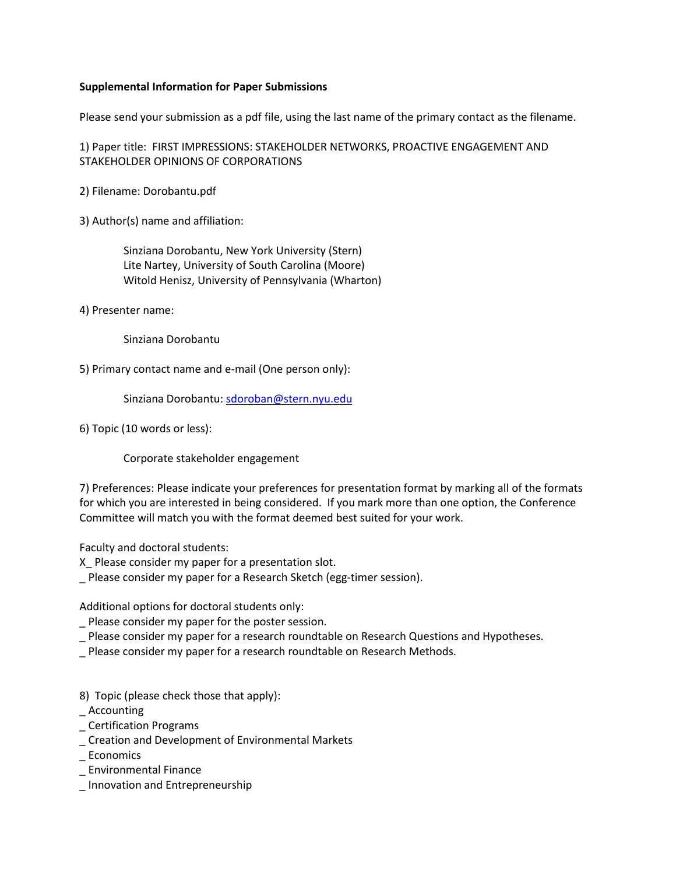#### **Supplemental Information for Paper Submissions**

Please send your submission as a pdf file, using the last name of the primary contact as the filename.

1) Paper title: FIRST IMPRESSIONS: STAKEHOLDER NETWORKS, PROACTIVE ENGAGEMENT AND STAKEHOLDER OPINIONS OF CORPORATIONS

2) Filename: Dorobantu.pdf

3) Author(s) name and affiliation:

 Sinziana Dorobantu, New York University (Stern) Lite Nartey, University of South Carolina (Moore) Witold Henisz, University of Pennsylvania (Wharton)

4) Presenter name:

Sinziana Dorobantu

5) Primary contact name and e-mail (One person only):

Sinziana Dorobantu[: sdoroban@stern.nyu.edu](mailto:sdoroban@stern.nyu.edu)

6) Topic (10 words or less):

Corporate stakeholder engagement

7) Preferences: Please indicate your preferences for presentation format by marking all of the formats for which you are interested in being considered. If you mark more than one option, the Conference Committee will match you with the format deemed best suited for your work.

Faculty and doctoral students:

X\_ Please consider my paper for a presentation slot.

\_ Please consider my paper for a Research Sketch (egg-timer session).

Additional options for doctoral students only:

\_ Please consider my paper for the poster session.

- \_ Please consider my paper for a research roundtable on Research Questions and Hypotheses.
- \_ Please consider my paper for a research roundtable on Research Methods.
- 8) Topic (please check those that apply):
- \_ Accounting
- \_ Certification Programs
- \_ Creation and Development of Environmental Markets
- **Economics**
- \_ Environmental Finance
- \_ Innovation and Entrepreneurship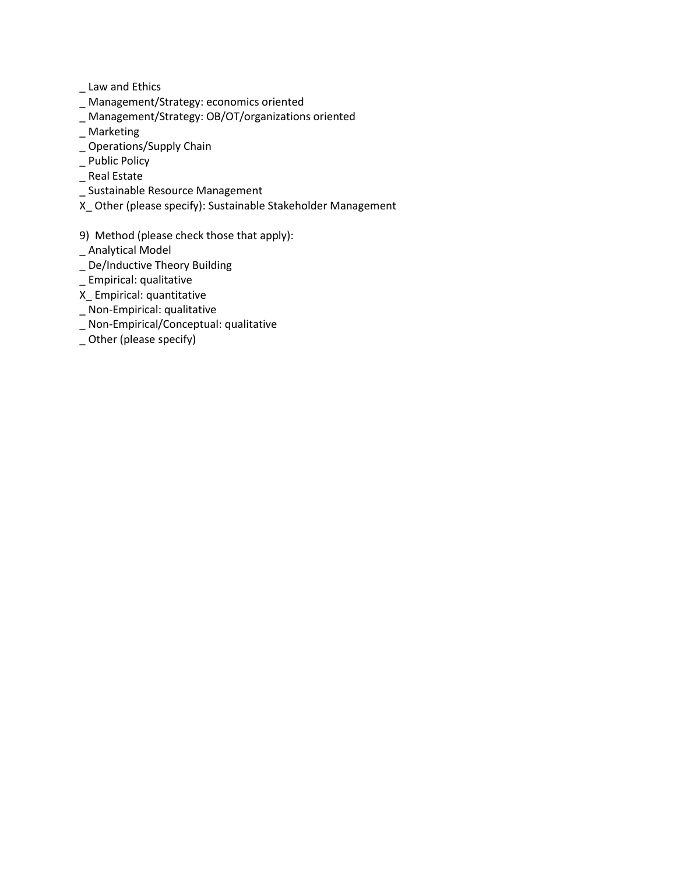\_ Law and Ethics

- \_ Management/Strategy: economics oriented
- \_ Management/Strategy: OB/OT/organizations oriented
- \_ Marketing
- \_ Operations/Supply Chain
- \_ Public Policy
- \_ Real Estate
- \_ Sustainable Resource Management
- X\_ Other (please specify): Sustainable Stakeholder Management
- 9) Method (please check those that apply):
- \_ Analytical Model
- \_ De/Inductive Theory Building
- \_ Empirical: qualitative
- X\_ Empirical: quantitative
- \_ Non-Empirical: qualitative
- \_ Non-Empirical/Conceptual: qualitative
- \_ Other (please specify)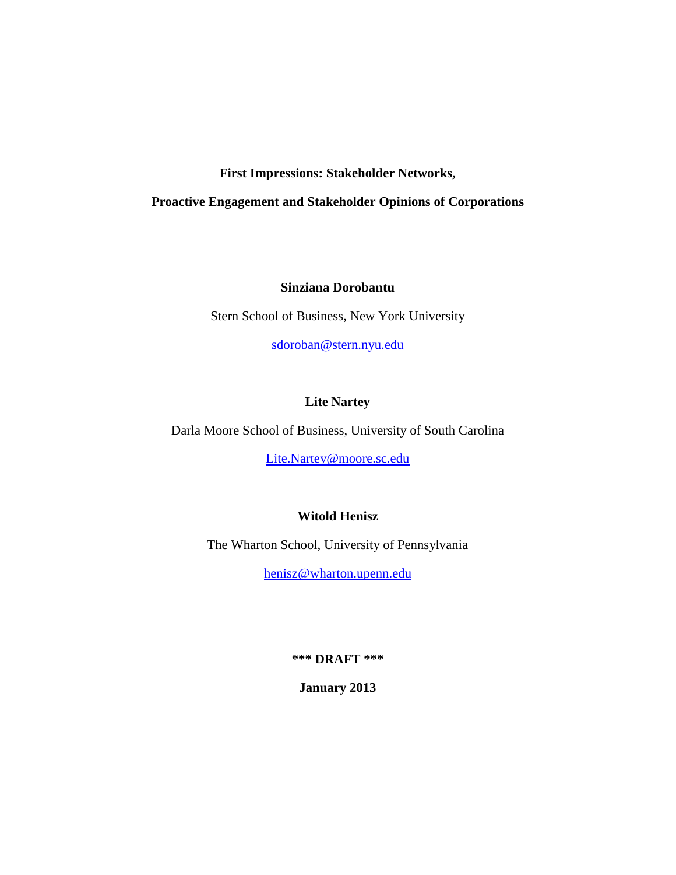# **First Impressions: Stakeholder Networks,**

# **Proactive Engagement and Stakeholder Opinions of Corporations**

# **Sinziana Dorobantu**

Stern School of Business, New York University

[sdoroban@stern.nyu.edu](mailto:sdoroban@stern.nyu.edu)

# **Lite Nartey**

Darla Moore School of Business, University of South Carolina

[Lite.Nartey@moore.sc.edu](mailto:Lite.Nartey@moore.sc.edu)

# **Witold Henisz**

The Wharton School, University of Pennsylvania

[henisz@wharton.upenn.edu](mailto:henisz@wharton.upenn.edu)

**\*\*\* DRAFT \*\*\***

**January 2013**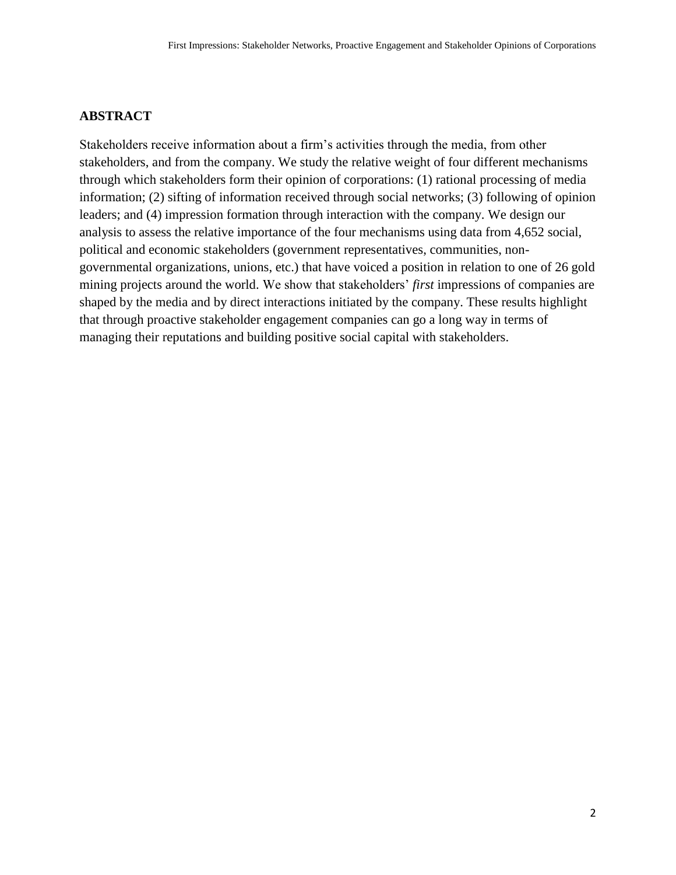# **ABSTRACT**

Stakeholders receive information about a firm's activities through the media, from other stakeholders, and from the company. We study the relative weight of four different mechanisms through which stakeholders form their opinion of corporations: (1) rational processing of media information; (2) sifting of information received through social networks; (3) following of opinion leaders; and (4) impression formation through interaction with the company. We design our analysis to assess the relative importance of the four mechanisms using data from 4,652 social, political and economic stakeholders (government representatives, communities, nongovernmental organizations, unions, etc.) that have voiced a position in relation to one of 26 gold mining projects around the world. We show that stakeholders' *first* impressions of companies are shaped by the media and by direct interactions initiated by the company. These results highlight that through proactive stakeholder engagement companies can go a long way in terms of managing their reputations and building positive social capital with stakeholders.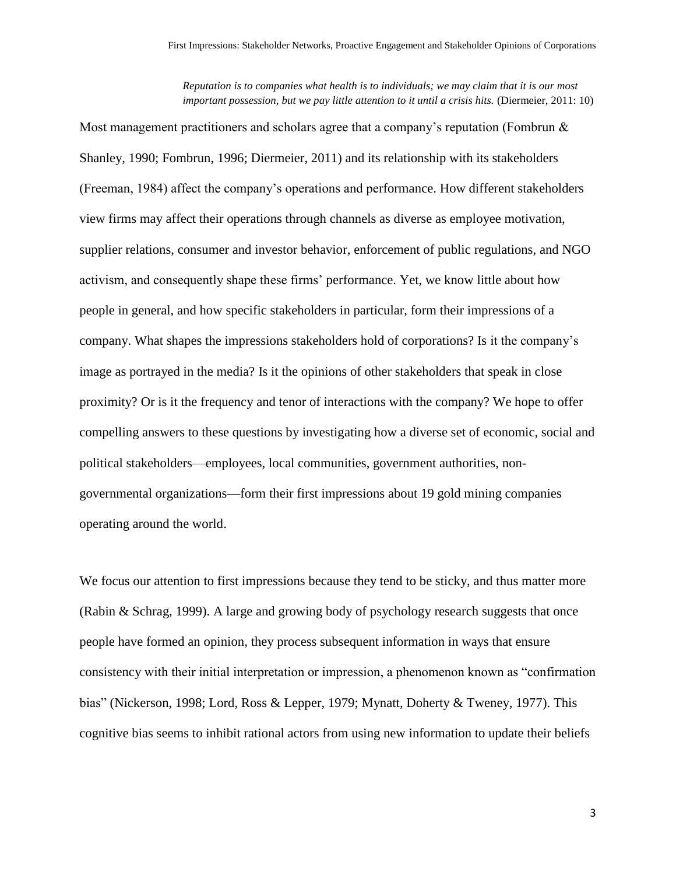*Reputation is to companies what health is to individuals; we may claim that it is our most important possession, but we pay little attention to it until a crisis hits.* (Diermeier, 2011: 10)

Most management practitioners and scholars agree that a company's reputation (Fombrun  $\&$ Shanley, 1990; Fombrun, 1996; Diermeier, 2011) and its relationship with its stakeholders (Freeman, 1984) affect the company's operations and performance. How different stakeholders view firms may affect their operations through channels as diverse as employee motivation, supplier relations, consumer and investor behavior, enforcement of public regulations, and NGO activism, and consequently shape these firms' performance. Yet, we know little about how people in general, and how specific stakeholders in particular, form their impressions of a company. What shapes the impressions stakeholders hold of corporations? Is it the company's image as portrayed in the media? Is it the opinions of other stakeholders that speak in close proximity? Or is it the frequency and tenor of interactions with the company? We hope to offer compelling answers to these questions by investigating how a diverse set of economic, social and political stakeholders—employees, local communities, government authorities, nongovernmental organizations—form their first impressions about 19 gold mining companies operating around the world.

We focus our attention to first impressions because they tend to be sticky, and thus matter more (Rabin & Schrag, 1999). A large and growing body of psychology research suggests that once people have formed an opinion, they process subsequent information in ways that ensure consistency with their initial interpretation or impression, a phenomenon known as "confirmation bias" (Nickerson, 1998; Lord, Ross & Lepper, 1979; Mynatt, Doherty & Tweney, 1977). This cognitive bias seems to inhibit rational actors from using new information to update their beliefs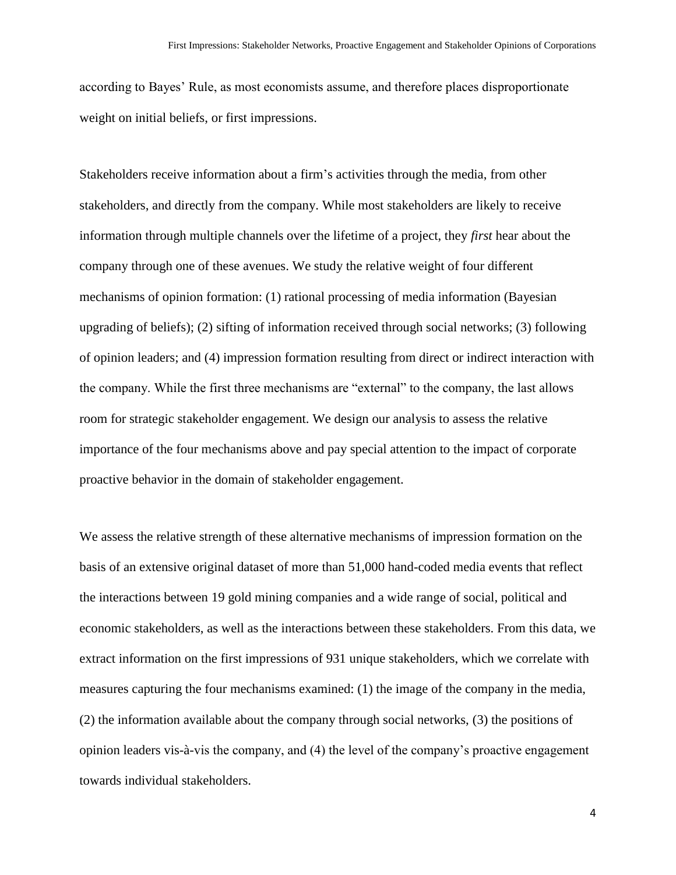according to Bayes' Rule, as most economists assume, and therefore places disproportionate weight on initial beliefs, or first impressions.

Stakeholders receive information about a firm's activities through the media, from other stakeholders, and directly from the company. While most stakeholders are likely to receive information through multiple channels over the lifetime of a project, they *first* hear about the company through one of these avenues. We study the relative weight of four different mechanisms of opinion formation: (1) rational processing of media information (Bayesian upgrading of beliefs); (2) sifting of information received through social networks; (3) following of opinion leaders; and (4) impression formation resulting from direct or indirect interaction with the company. While the first three mechanisms are "external" to the company, the last allows room for strategic stakeholder engagement. We design our analysis to assess the relative importance of the four mechanisms above and pay special attention to the impact of corporate proactive behavior in the domain of stakeholder engagement.

We assess the relative strength of these alternative mechanisms of impression formation on the basis of an extensive original dataset of more than 51,000 hand-coded media events that reflect the interactions between 19 gold mining companies and a wide range of social, political and economic stakeholders, as well as the interactions between these stakeholders. From this data, we extract information on the first impressions of 931 unique stakeholders, which we correlate with measures capturing the four mechanisms examined: (1) the image of the company in the media, (2) the information available about the company through social networks, (3) the positions of opinion leaders vis-à-vis the company, and (4) the level of the company's proactive engagement towards individual stakeholders.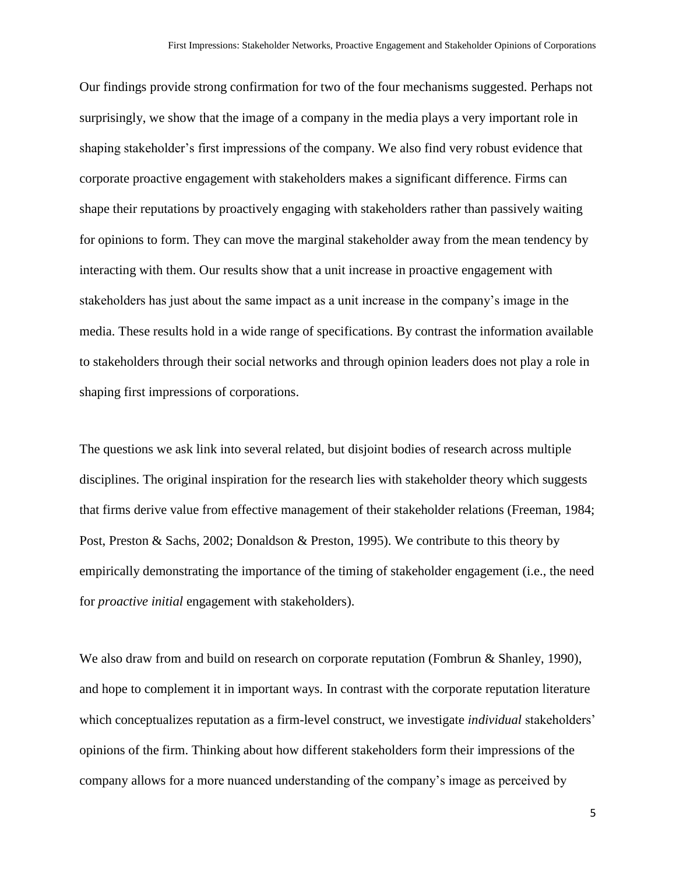Our findings provide strong confirmation for two of the four mechanisms suggested. Perhaps not surprisingly, we show that the image of a company in the media plays a very important role in shaping stakeholder's first impressions of the company. We also find very robust evidence that corporate proactive engagement with stakeholders makes a significant difference. Firms can shape their reputations by proactively engaging with stakeholders rather than passively waiting for opinions to form. They can move the marginal stakeholder away from the mean tendency by interacting with them. Our results show that a unit increase in proactive engagement with stakeholders has just about the same impact as a unit increase in the company's image in the media. These results hold in a wide range of specifications. By contrast the information available to stakeholders through their social networks and through opinion leaders does not play a role in shaping first impressions of corporations.

The questions we ask link into several related, but disjoint bodies of research across multiple disciplines. The original inspiration for the research lies with stakeholder theory which suggests that firms derive value from effective management of their stakeholder relations (Freeman, 1984; Post, Preston & Sachs, 2002; Donaldson & Preston, 1995). We contribute to this theory by empirically demonstrating the importance of the timing of stakeholder engagement (i.e., the need for *proactive initial* engagement with stakeholders).

We also draw from and build on research on corporate reputation (Fombrun & Shanley, 1990), and hope to complement it in important ways. In contrast with the corporate reputation literature which conceptualizes reputation as a firm-level construct, we investigate *individual* stakeholders' opinions of the firm. Thinking about how different stakeholders form their impressions of the company allows for a more nuanced understanding of the company's image as perceived by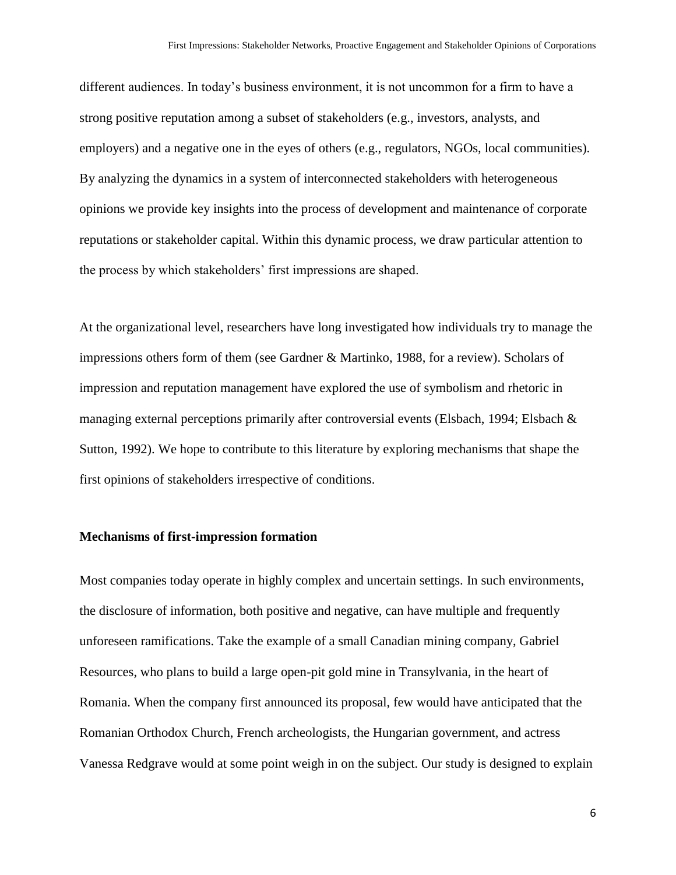different audiences. In today's business environment, it is not uncommon for a firm to have a strong positive reputation among a subset of stakeholders (e.g., investors, analysts, and employers) and a negative one in the eyes of others (e.g., regulators, NGOs, local communities). By analyzing the dynamics in a system of interconnected stakeholders with heterogeneous opinions we provide key insights into the process of development and maintenance of corporate reputations or stakeholder capital. Within this dynamic process, we draw particular attention to the process by which stakeholders' first impressions are shaped.

At the organizational level, researchers have long investigated how individuals try to manage the impressions others form of them (see Gardner & Martinko, 1988, for a review). Scholars of impression and reputation management have explored the use of symbolism and rhetoric in managing external perceptions primarily after controversial events (Elsbach, 1994; Elsbach & Sutton, 1992). We hope to contribute to this literature by exploring mechanisms that shape the first opinions of stakeholders irrespective of conditions.

#### **Mechanisms of first-impression formation**

Most companies today operate in highly complex and uncertain settings. In such environments, the disclosure of information, both positive and negative, can have multiple and frequently unforeseen ramifications. Take the example of a small Canadian mining company, Gabriel Resources, who plans to build a large open-pit gold mine in Transylvania, in the heart of Romania. When the company first announced its proposal, few would have anticipated that the Romanian Orthodox Church, French archeologists, the Hungarian government, and actress Vanessa Redgrave would at some point weigh in on the subject. Our study is designed to explain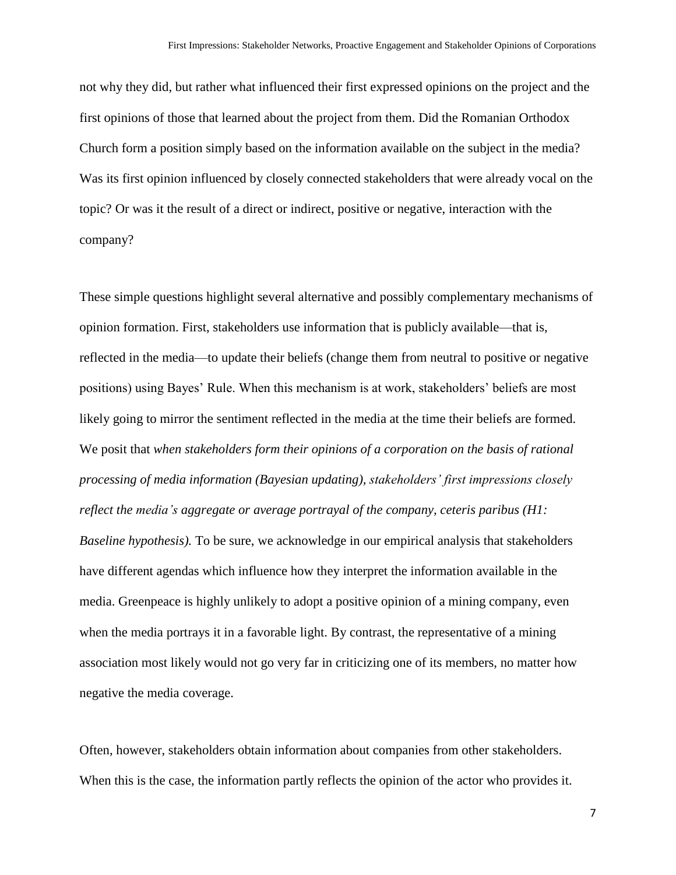not why they did, but rather what influenced their first expressed opinions on the project and the first opinions of those that learned about the project from them. Did the Romanian Orthodox Church form a position simply based on the information available on the subject in the media? Was its first opinion influenced by closely connected stakeholders that were already vocal on the topic? Or was it the result of a direct or indirect, positive or negative, interaction with the company?

These simple questions highlight several alternative and possibly complementary mechanisms of opinion formation. First, stakeholders use information that is publicly available—that is, reflected in the media—to update their beliefs (change them from neutral to positive or negative positions) using Bayes' Rule. When this mechanism is at work, stakeholders' beliefs are most likely going to mirror the sentiment reflected in the media at the time their beliefs are formed. We posit that *when stakeholders form their opinions of a corporation on the basis of rational processing of media information (Bayesian updating), stakeholders' first impressions closely reflect the media's aggregate or average portrayal of the company, ceteris paribus (H1: Baseline hypothesis).* To be sure, we acknowledge in our empirical analysis that stakeholders have different agendas which influence how they interpret the information available in the media. Greenpeace is highly unlikely to adopt a positive opinion of a mining company, even when the media portrays it in a favorable light. By contrast, the representative of a mining association most likely would not go very far in criticizing one of its members, no matter how negative the media coverage.

Often, however, stakeholders obtain information about companies from other stakeholders. When this is the case, the information partly reflects the opinion of the actor who provides it.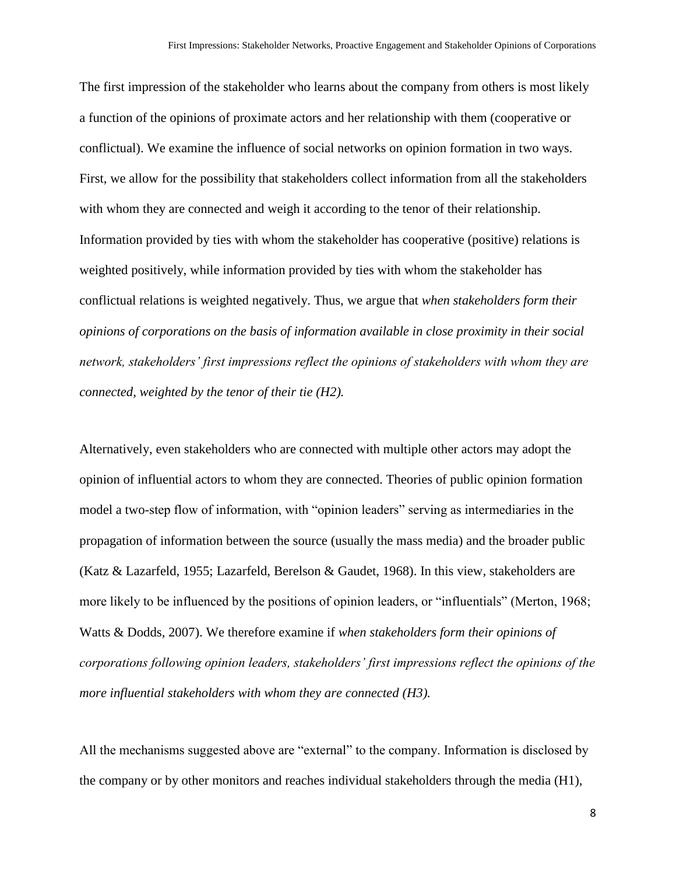The first impression of the stakeholder who learns about the company from others is most likely a function of the opinions of proximate actors and her relationship with them (cooperative or conflictual). We examine the influence of social networks on opinion formation in two ways. First, we allow for the possibility that stakeholders collect information from all the stakeholders with whom they are connected and weigh it according to the tenor of their relationship. Information provided by ties with whom the stakeholder has cooperative (positive) relations is weighted positively, while information provided by ties with whom the stakeholder has conflictual relations is weighted negatively. Thus, we argue that *when stakeholders form their opinions of corporations on the basis of information available in close proximity in their social network, stakeholders' first impressions reflect the opinions of stakeholders with whom they are connected, weighted by the tenor of their tie (H2).*

Alternatively, even stakeholders who are connected with multiple other actors may adopt the opinion of influential actors to whom they are connected. Theories of public opinion formation model a two-step flow of information, with "opinion leaders" serving as intermediaries in the propagation of information between the source (usually the mass media) and the broader public (Katz & Lazarfeld, 1955; Lazarfeld, Berelson & Gaudet, 1968). In this view, stakeholders are more likely to be influenced by the positions of opinion leaders, or "influentials" (Merton, 1968; Watts & Dodds, 2007). We therefore examine if *when stakeholders form their opinions of corporations following opinion leaders, stakeholders' first impressions reflect the opinions of the more influential stakeholders with whom they are connected (H3).*

All the mechanisms suggested above are "external" to the company. Information is disclosed by the company or by other monitors and reaches individual stakeholders through the media (H1),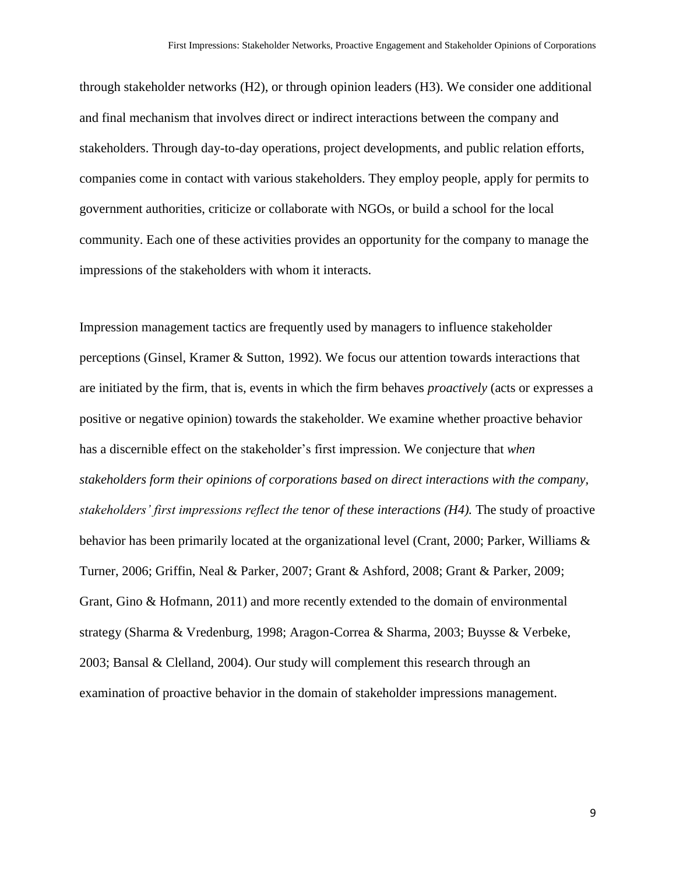through stakeholder networks (H2), or through opinion leaders (H3). We consider one additional and final mechanism that involves direct or indirect interactions between the company and stakeholders. Through day-to-day operations, project developments, and public relation efforts, companies come in contact with various stakeholders. They employ people, apply for permits to government authorities, criticize or collaborate with NGOs, or build a school for the local community. Each one of these activities provides an opportunity for the company to manage the impressions of the stakeholders with whom it interacts.

Impression management tactics are frequently used by managers to influence stakeholder perceptions (Ginsel, Kramer & Sutton, 1992). We focus our attention towards interactions that are initiated by the firm, that is, events in which the firm behaves *proactively* (acts or expresses a positive or negative opinion) towards the stakeholder. We examine whether proactive behavior has a discernible effect on the stakeholder's first impression. We conjecture that *when stakeholders form their opinions of corporations based on direct interactions with the company, stakeholders' first impressions reflect the tenor of these interactions (H4).* The study of proactive behavior has been primarily located at the organizational level (Crant, 2000; Parker, Williams & Turner, 2006; Griffin, Neal & Parker, 2007; Grant & Ashford, 2008; Grant & Parker, 2009; Grant, Gino & Hofmann, 2011) and more recently extended to the domain of environmental strategy (Sharma & Vredenburg, 1998; Aragon-Correa & Sharma, 2003; Buysse & Verbeke, 2003; Bansal & Clelland, 2004). Our study will complement this research through an examination of proactive behavior in the domain of stakeholder impressions management.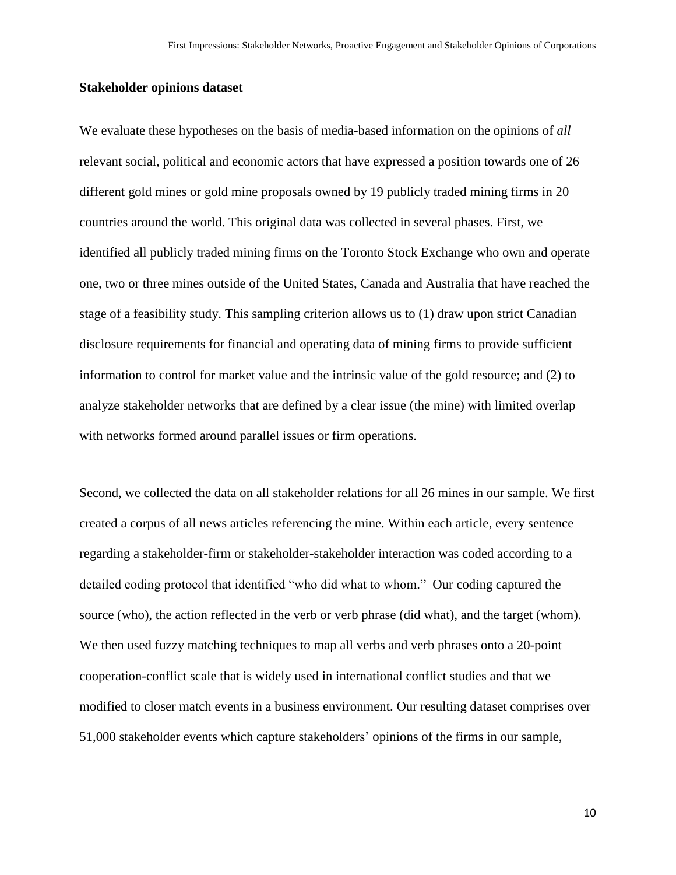### **Stakeholder opinions dataset**

We evaluate these hypotheses on the basis of media-based information on the opinions of *all* relevant social, political and economic actors that have expressed a position towards one of 26 different gold mines or gold mine proposals owned by 19 publicly traded mining firms in 20 countries around the world. This original data was collected in several phases. First, we identified all publicly traded mining firms on the Toronto Stock Exchange who own and operate one, two or three mines outside of the United States, Canada and Australia that have reached the stage of a feasibility study. This sampling criterion allows us to (1) draw upon strict Canadian disclosure requirements for financial and operating data of mining firms to provide sufficient information to control for market value and the intrinsic value of the gold resource; and (2) to analyze stakeholder networks that are defined by a clear issue (the mine) with limited overlap with networks formed around parallel issues or firm operations.

Second, we collected the data on all stakeholder relations for all 26 mines in our sample. We first created a corpus of all news articles referencing the mine. Within each article, every sentence regarding a stakeholder-firm or stakeholder-stakeholder interaction was coded according to a detailed coding protocol that identified "who did what to whom." Our coding captured the source (who), the action reflected in the verb or verb phrase (did what), and the target (whom). We then used fuzzy matching techniques to map all verbs and verb phrases onto a 20-point cooperation-conflict scale that is widely used in international conflict studies and that we modified to closer match events in a business environment. Our resulting dataset comprises over 51,000 stakeholder events which capture stakeholders' opinions of the firms in our sample,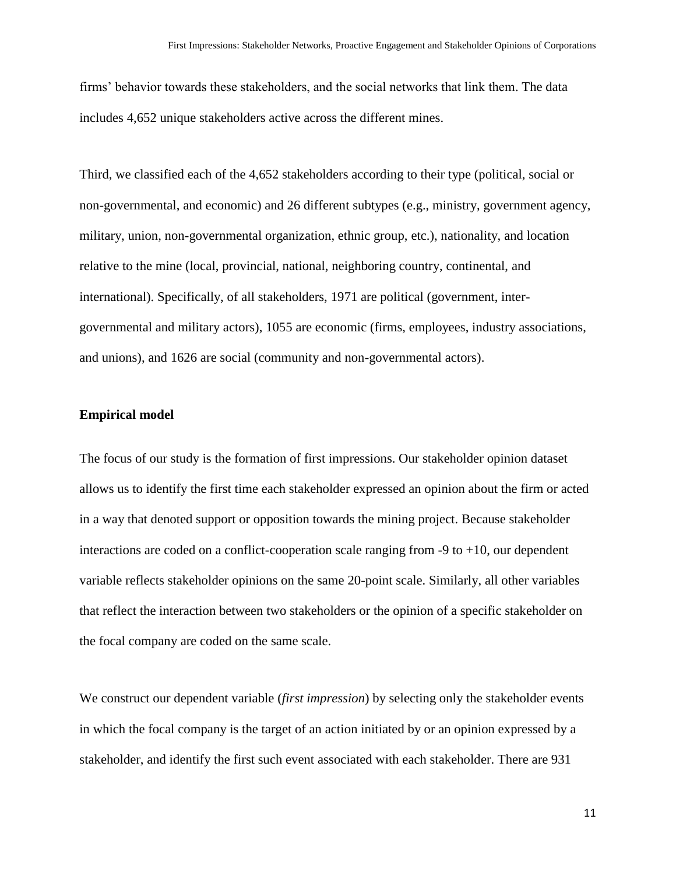firms' behavior towards these stakeholders, and the social networks that link them. The data includes 4,652 unique stakeholders active across the different mines.

Third, we classified each of the 4,652 stakeholders according to their type (political, social or non-governmental, and economic) and 26 different subtypes (e.g., ministry, government agency, military, union, non-governmental organization, ethnic group, etc.), nationality, and location relative to the mine (local, provincial, national, neighboring country, continental, and international). Specifically, of all stakeholders, 1971 are political (government, intergovernmental and military actors), 1055 are economic (firms, employees, industry associations, and unions), and 1626 are social (community and non-governmental actors).

#### **Empirical model**

The focus of our study is the formation of first impressions. Our stakeholder opinion dataset allows us to identify the first time each stakeholder expressed an opinion about the firm or acted in a way that denoted support or opposition towards the mining project. Because stakeholder interactions are coded on a conflict-cooperation scale ranging from  $-9$  to  $+10$ , our dependent variable reflects stakeholder opinions on the same 20-point scale. Similarly, all other variables that reflect the interaction between two stakeholders or the opinion of a specific stakeholder on the focal company are coded on the same scale.

We construct our dependent variable (*first impression*) by selecting only the stakeholder events in which the focal company is the target of an action initiated by or an opinion expressed by a stakeholder, and identify the first such event associated with each stakeholder. There are 931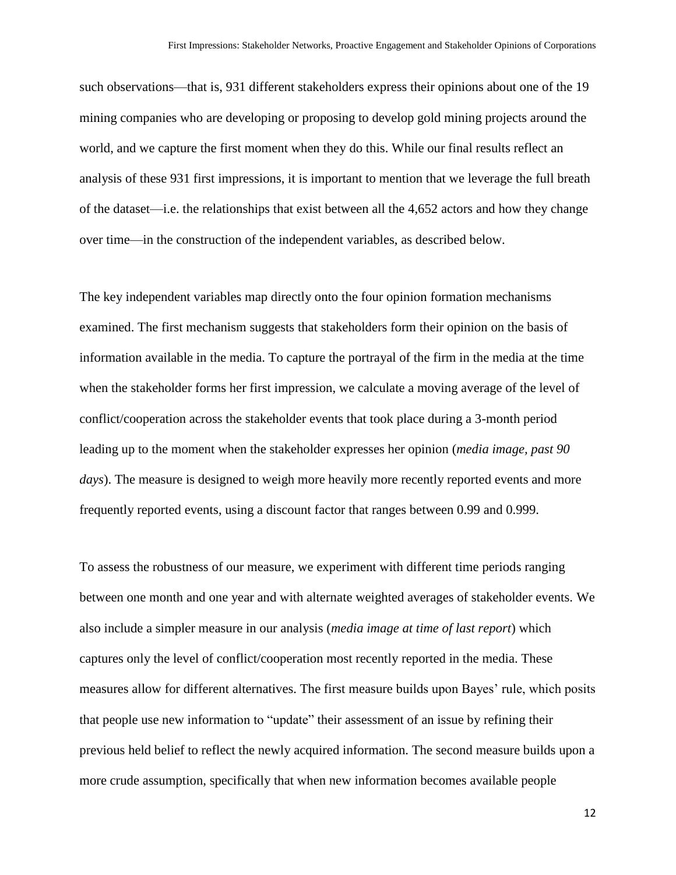such observations—that is, 931 different stakeholders express their opinions about one of the 19 mining companies who are developing or proposing to develop gold mining projects around the world, and we capture the first moment when they do this. While our final results reflect an analysis of these 931 first impressions, it is important to mention that we leverage the full breath of the dataset—i.e. the relationships that exist between all the 4,652 actors and how they change over time—in the construction of the independent variables, as described below.

The key independent variables map directly onto the four opinion formation mechanisms examined. The first mechanism suggests that stakeholders form their opinion on the basis of information available in the media. To capture the portrayal of the firm in the media at the time when the stakeholder forms her first impression, we calculate a moving average of the level of conflict/cooperation across the stakeholder events that took place during a 3-month period leading up to the moment when the stakeholder expresses her opinion (*media image, past 90 days*). The measure is designed to weigh more heavily more recently reported events and more frequently reported events, using a discount factor that ranges between 0.99 and 0.999.

To assess the robustness of our measure, we experiment with different time periods ranging between one month and one year and with alternate weighted averages of stakeholder events. We also include a simpler measure in our analysis (*media image at time of last report*) which captures only the level of conflict/cooperation most recently reported in the media. These measures allow for different alternatives. The first measure builds upon Bayes' rule, which posits that people use new information to "update" their assessment of an issue by refining their previous held belief to reflect the newly acquired information. The second measure builds upon a more crude assumption, specifically that when new information becomes available people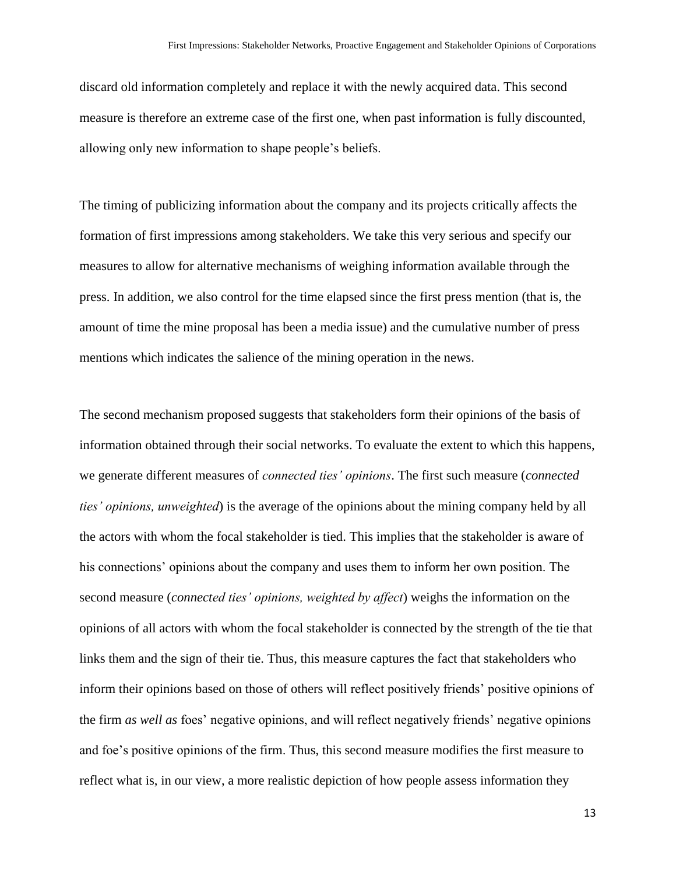discard old information completely and replace it with the newly acquired data. This second measure is therefore an extreme case of the first one, when past information is fully discounted, allowing only new information to shape people's beliefs.

The timing of publicizing information about the company and its projects critically affects the formation of first impressions among stakeholders. We take this very serious and specify our measures to allow for alternative mechanisms of weighing information available through the press. In addition, we also control for the time elapsed since the first press mention (that is, the amount of time the mine proposal has been a media issue) and the cumulative number of press mentions which indicates the salience of the mining operation in the news.

The second mechanism proposed suggests that stakeholders form their opinions of the basis of information obtained through their social networks. To evaluate the extent to which this happens, we generate different measures of *connected ties' opinions*. The first such measure (*connected ties' opinions, unweighted*) is the average of the opinions about the mining company held by all the actors with whom the focal stakeholder is tied. This implies that the stakeholder is aware of his connections' opinions about the company and uses them to inform her own position. The second measure (*connected ties' opinions, weighted by affect*) weighs the information on the opinions of all actors with whom the focal stakeholder is connected by the strength of the tie that links them and the sign of their tie. Thus, this measure captures the fact that stakeholders who inform their opinions based on those of others will reflect positively friends' positive opinions of the firm *as well as* foes' negative opinions, and will reflect negatively friends' negative opinions and foe's positive opinions of the firm. Thus, this second measure modifies the first measure to reflect what is, in our view, a more realistic depiction of how people assess information they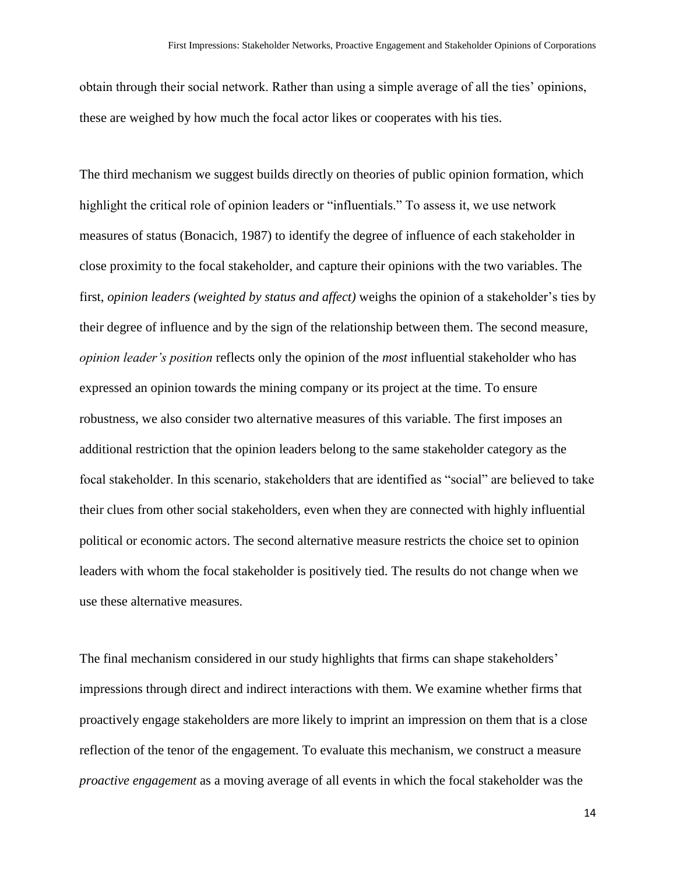obtain through their social network. Rather than using a simple average of all the ties' opinions, these are weighed by how much the focal actor likes or cooperates with his ties.

The third mechanism we suggest builds directly on theories of public opinion formation, which highlight the critical role of opinion leaders or "influentials." To assess it, we use network measures of status (Bonacich, 1987) to identify the degree of influence of each stakeholder in close proximity to the focal stakeholder, and capture their opinions with the two variables. The first, *opinion leaders (weighted by status and affect)* weighs the opinion of a stakeholder's ties by their degree of influence and by the sign of the relationship between them. The second measure, *opinion leader's position* reflects only the opinion of the *most* influential stakeholder who has expressed an opinion towards the mining company or its project at the time. To ensure robustness, we also consider two alternative measures of this variable. The first imposes an additional restriction that the opinion leaders belong to the same stakeholder category as the focal stakeholder. In this scenario, stakeholders that are identified as "social" are believed to take their clues from other social stakeholders, even when they are connected with highly influential political or economic actors. The second alternative measure restricts the choice set to opinion leaders with whom the focal stakeholder is positively tied. The results do not change when we use these alternative measures.

The final mechanism considered in our study highlights that firms can shape stakeholders' impressions through direct and indirect interactions with them. We examine whether firms that proactively engage stakeholders are more likely to imprint an impression on them that is a close reflection of the tenor of the engagement. To evaluate this mechanism, we construct a measure *proactive engagement* as a moving average of all events in which the focal stakeholder was the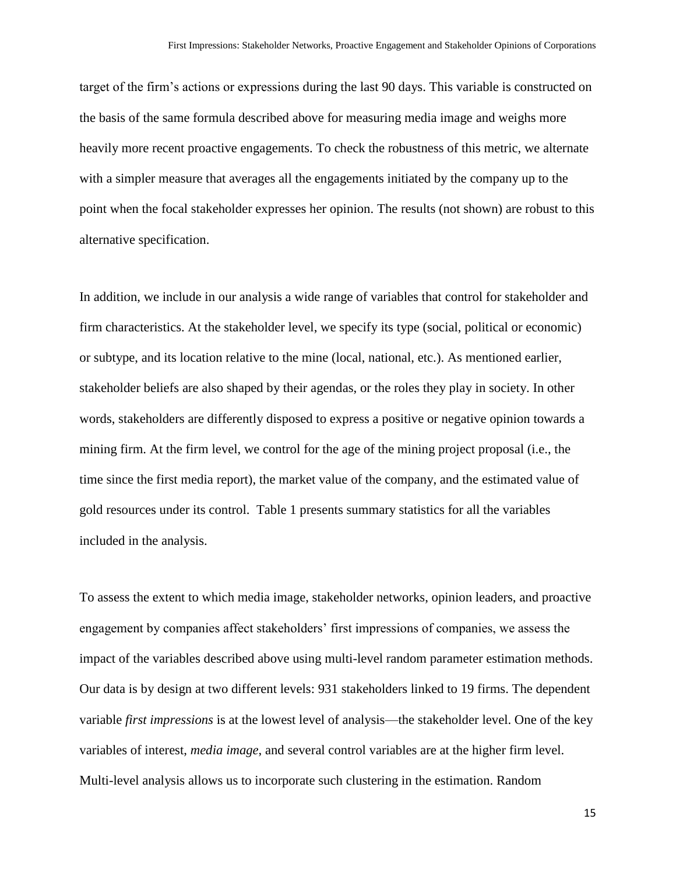target of the firm's actions or expressions during the last 90 days. This variable is constructed on the basis of the same formula described above for measuring media image and weighs more heavily more recent proactive engagements. To check the robustness of this metric, we alternate with a simpler measure that averages all the engagements initiated by the company up to the point when the focal stakeholder expresses her opinion. The results (not shown) are robust to this alternative specification.

In addition, we include in our analysis a wide range of variables that control for stakeholder and firm characteristics. At the stakeholder level, we specify its type (social, political or economic) or subtype, and its location relative to the mine (local, national, etc.). As mentioned earlier, stakeholder beliefs are also shaped by their agendas, or the roles they play in society. In other words, stakeholders are differently disposed to express a positive or negative opinion towards a mining firm. At the firm level, we control for the age of the mining project proposal (i.e., the time since the first media report), the market value of the company, and the estimated value of gold resources under its control. Table 1 presents summary statistics for all the variables included in the analysis.

To assess the extent to which media image, stakeholder networks, opinion leaders, and proactive engagement by companies affect stakeholders' first impressions of companies, we assess the impact of the variables described above using multi-level random parameter estimation methods. Our data is by design at two different levels: 931 stakeholders linked to 19 firms. The dependent variable *first impressions* is at the lowest level of analysis—the stakeholder level. One of the key variables of interest, *media image*, and several control variables are at the higher firm level. Multi-level analysis allows us to incorporate such clustering in the estimation. Random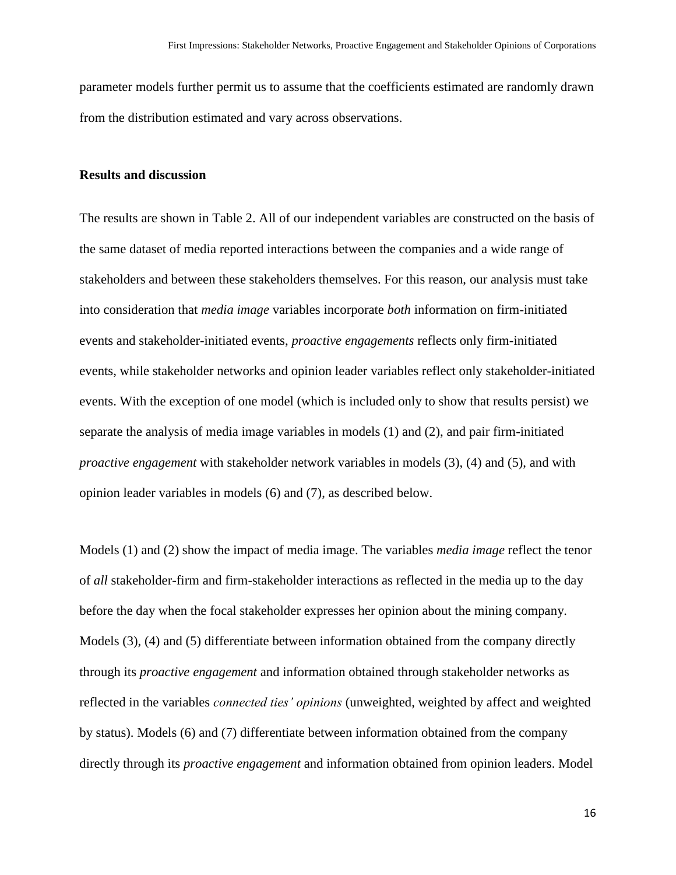parameter models further permit us to assume that the coefficients estimated are randomly drawn from the distribution estimated and vary across observations.

#### **Results and discussion**

The results are shown in Table 2. All of our independent variables are constructed on the basis of the same dataset of media reported interactions between the companies and a wide range of stakeholders and between these stakeholders themselves. For this reason, our analysis must take into consideration that *media image* variables incorporate *both* information on firm-initiated events and stakeholder-initiated events, *proactive engagements* reflects only firm-initiated events, while stakeholder networks and opinion leader variables reflect only stakeholder-initiated events. With the exception of one model (which is included only to show that results persist) we separate the analysis of media image variables in models (1) and (2), and pair firm-initiated *proactive engagement* with stakeholder network variables in models (3), (4) and (5), and with opinion leader variables in models (6) and (7), as described below.

Models (1) and (2) show the impact of media image. The variables *media image* reflect the tenor of *all* stakeholder-firm and firm-stakeholder interactions as reflected in the media up to the day before the day when the focal stakeholder expresses her opinion about the mining company. Models (3), (4) and (5) differentiate between information obtained from the company directly through its *proactive engagement* and information obtained through stakeholder networks as reflected in the variables *connected ties' opinions* (unweighted, weighted by affect and weighted by status). Models (6) and (7) differentiate between information obtained from the company directly through its *proactive engagement* and information obtained from opinion leaders. Model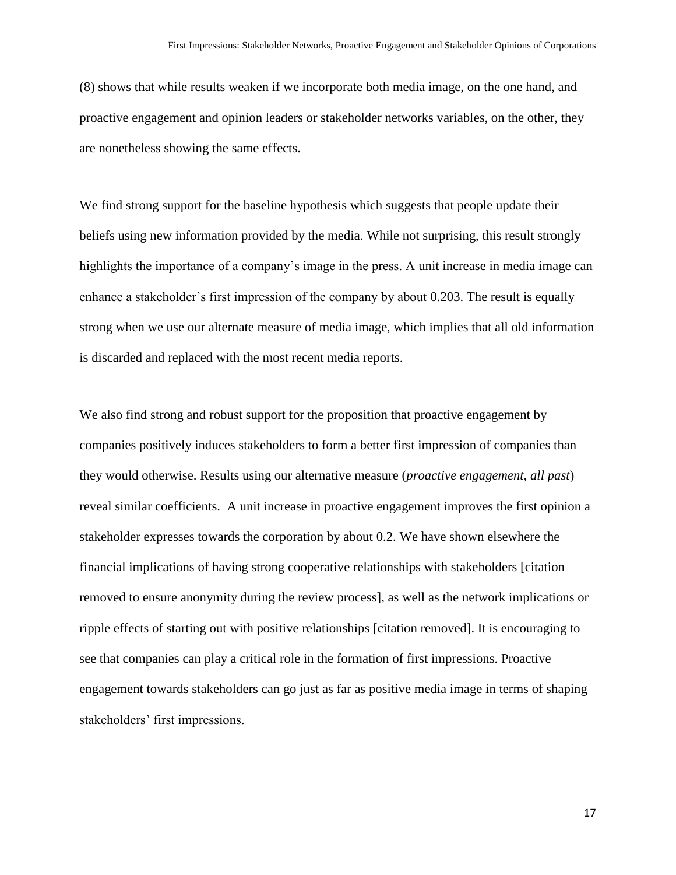(8) shows that while results weaken if we incorporate both media image, on the one hand, and proactive engagement and opinion leaders or stakeholder networks variables, on the other, they are nonetheless showing the same effects.

We find strong support for the baseline hypothesis which suggests that people update their beliefs using new information provided by the media. While not surprising, this result strongly highlights the importance of a company's image in the press. A unit increase in media image can enhance a stakeholder's first impression of the company by about 0.203. The result is equally strong when we use our alternate measure of media image, which implies that all old information is discarded and replaced with the most recent media reports.

We also find strong and robust support for the proposition that proactive engagement by companies positively induces stakeholders to form a better first impression of companies than they would otherwise. Results using our alternative measure (*proactive engagement, all past*) reveal similar coefficients. A unit increase in proactive engagement improves the first opinion a stakeholder expresses towards the corporation by about 0.2. We have shown elsewhere the financial implications of having strong cooperative relationships with stakeholders [citation removed to ensure anonymity during the review process], as well as the network implications or ripple effects of starting out with positive relationships [citation removed]. It is encouraging to see that companies can play a critical role in the formation of first impressions. Proactive engagement towards stakeholders can go just as far as positive media image in terms of shaping stakeholders' first impressions.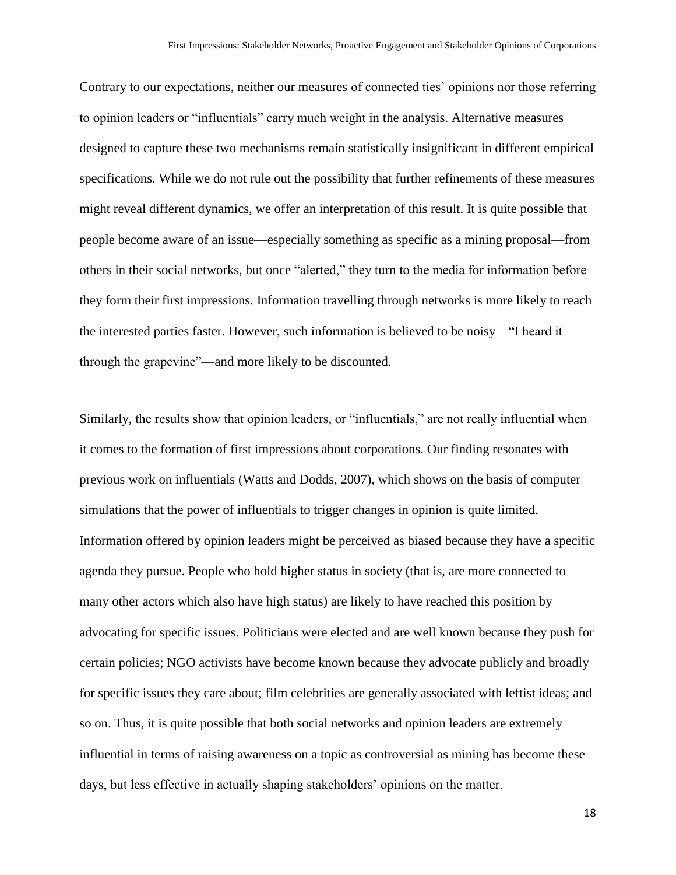Contrary to our expectations, neither our measures of connected ties' opinions nor those referring to opinion leaders or "influentials" carry much weight in the analysis. Alternative measures designed to capture these two mechanisms remain statistically insignificant in different empirical specifications. While we do not rule out the possibility that further refinements of these measures might reveal different dynamics, we offer an interpretation of this result. It is quite possible that people become aware of an issue—especially something as specific as a mining proposal—from others in their social networks, but once "alerted," they turn to the media for information before they form their first impressions. Information travelling through networks is more likely to reach the interested parties faster. However, such information is believed to be noisy—"I heard it through the grapevine"—and more likely to be discounted.

Similarly, the results show that opinion leaders, or "influentials," are not really influential when it comes to the formation of first impressions about corporations. Our finding resonates with previous work on influentials (Watts and Dodds, 2007), which shows on the basis of computer simulations that the power of influentials to trigger changes in opinion is quite limited. Information offered by opinion leaders might be perceived as biased because they have a specific agenda they pursue. People who hold higher status in society (that is, are more connected to many other actors which also have high status) are likely to have reached this position by advocating for specific issues. Politicians were elected and are well known because they push for certain policies; NGO activists have become known because they advocate publicly and broadly for specific issues they care about; film celebrities are generally associated with leftist ideas; and so on. Thus, it is quite possible that both social networks and opinion leaders are extremely influential in terms of raising awareness on a topic as controversial as mining has become these days, but less effective in actually shaping stakeholders' opinions on the matter.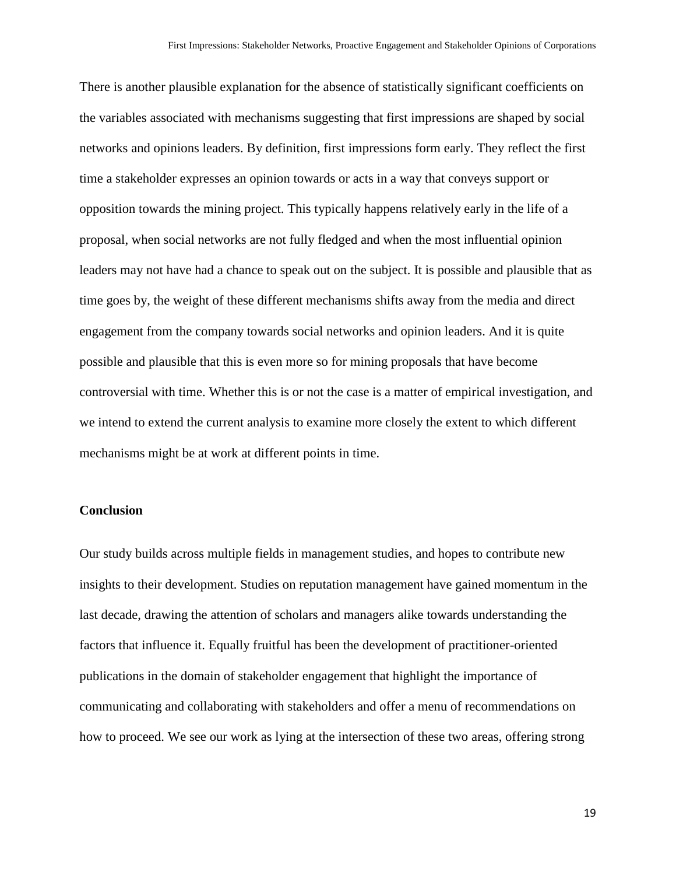There is another plausible explanation for the absence of statistically significant coefficients on the variables associated with mechanisms suggesting that first impressions are shaped by social networks and opinions leaders. By definition, first impressions form early. They reflect the first time a stakeholder expresses an opinion towards or acts in a way that conveys support or opposition towards the mining project. This typically happens relatively early in the life of a proposal, when social networks are not fully fledged and when the most influential opinion leaders may not have had a chance to speak out on the subject. It is possible and plausible that as time goes by, the weight of these different mechanisms shifts away from the media and direct engagement from the company towards social networks and opinion leaders. And it is quite possible and plausible that this is even more so for mining proposals that have become controversial with time. Whether this is or not the case is a matter of empirical investigation, and we intend to extend the current analysis to examine more closely the extent to which different mechanisms might be at work at different points in time.

### **Conclusion**

Our study builds across multiple fields in management studies, and hopes to contribute new insights to their development. Studies on reputation management have gained momentum in the last decade, drawing the attention of scholars and managers alike towards understanding the factors that influence it. Equally fruitful has been the development of practitioner-oriented publications in the domain of stakeholder engagement that highlight the importance of communicating and collaborating with stakeholders and offer a menu of recommendations on how to proceed. We see our work as lying at the intersection of these two areas, offering strong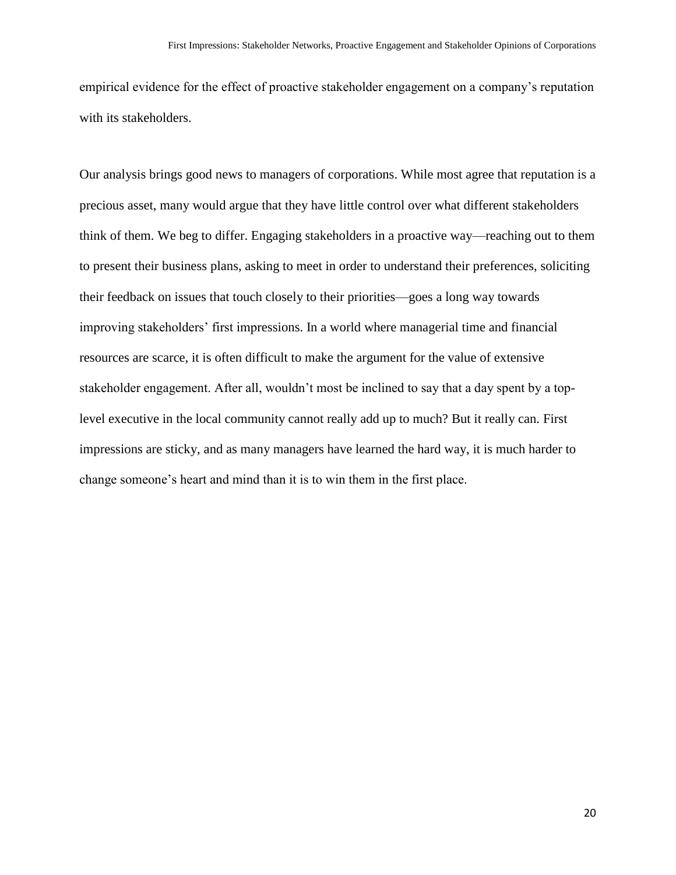empirical evidence for the effect of proactive stakeholder engagement on a company's reputation with its stakeholders.

Our analysis brings good news to managers of corporations. While most agree that reputation is a precious asset, many would argue that they have little control over what different stakeholders think of them. We beg to differ. Engaging stakeholders in a proactive way—reaching out to them to present their business plans, asking to meet in order to understand their preferences, soliciting their feedback on issues that touch closely to their priorities—goes a long way towards improving stakeholders' first impressions. In a world where managerial time and financial resources are scarce, it is often difficult to make the argument for the value of extensive stakeholder engagement. After all, wouldn't most be inclined to say that a day spent by a toplevel executive in the local community cannot really add up to much? But it really can. First impressions are sticky, and as many managers have learned the hard way, it is much harder to change someone's heart and mind than it is to win them in the first place.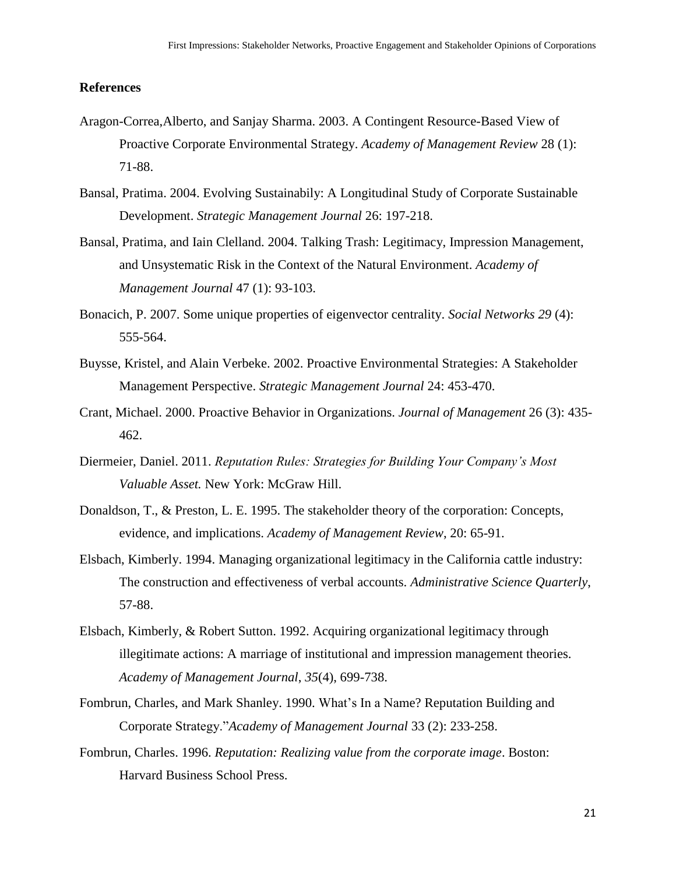### **References**

- Aragon-Correa,Alberto, and Sanjay Sharma. 2003. A Contingent Resource-Based View of Proactive Corporate Environmental Strategy. *Academy of Management Review* 28 (1): 71-88.
- Bansal, Pratima. 2004. Evolving Sustainabily: A Longitudinal Study of Corporate Sustainable Development. *Strategic Management Journal* 26: 197-218.
- Bansal, Pratima, and Iain Clelland. 2004. Talking Trash: Legitimacy, Impression Management, and Unsystematic Risk in the Context of the Natural Environment. *Academy of Management Journal* 47 (1): 93-103.
- Bonacich, P. 2007. Some unique properties of eigenvector centrality. *Social Networks 29* (4): 555-564.
- Buysse, Kristel, and Alain Verbeke. 2002. Proactive Environmental Strategies: A Stakeholder Management Perspective. *Strategic Management Journal* 24: 453-470.
- Crant, Michael. 2000. Proactive Behavior in Organizations. *Journal of Management* 26 (3): 435- 462.
- Diermeier, Daniel. 2011. *Reputation Rules: Strategies for Building Your Company's Most Valuable Asset.* New York: McGraw Hill.
- Donaldson, T., & Preston, L. E. 1995. The stakeholder theory of the corporation: Concepts, evidence, and implications. *Academy of Management Review*, 20: 65-91.
- Elsbach, Kimberly. 1994. Managing organizational legitimacy in the California cattle industry: The construction and effectiveness of verbal accounts. *Administrative Science Quarterly*, 57-88.
- Elsbach, Kimberly, & Robert Sutton. 1992. Acquiring organizational legitimacy through illegitimate actions: A marriage of institutional and impression management theories. *Academy of Management Journal*, *35*(4), 699-738.
- Fombrun, Charles, and Mark Shanley. 1990. What's In a Name? Reputation Building and Corporate Strategy."*Academy of Management Journal* 33 (2): 233-258.
- Fombrun, Charles. 1996. *Reputation: Realizing value from the corporate image*. Boston: Harvard Business School Press.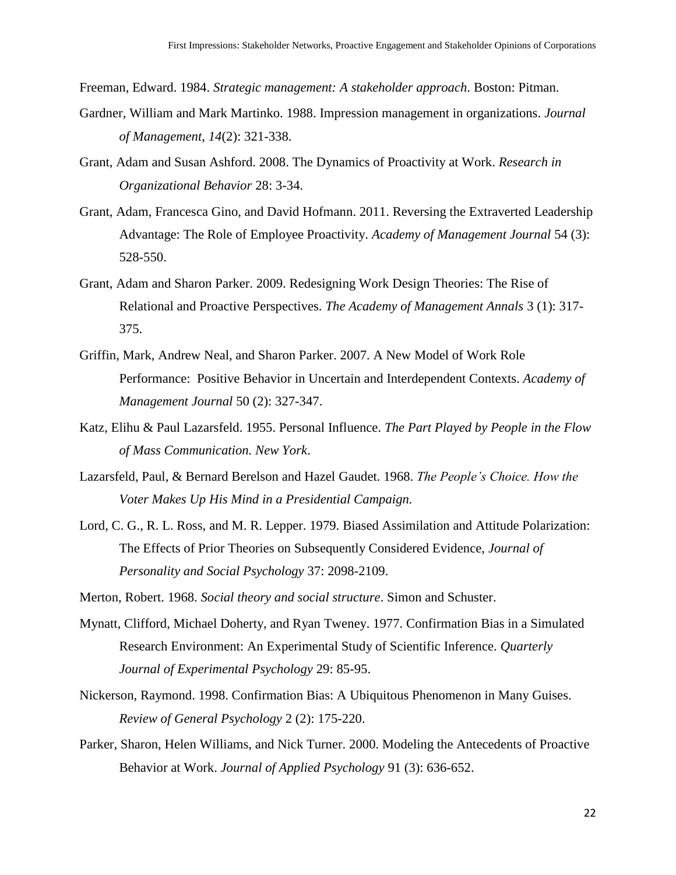Freeman, Edward. 1984. *Strategic management: A stakeholder approach*. Boston: Pitman.

- Gardner, William and Mark Martinko. 1988. Impression management in organizations. *Journal of Management*, *14*(2): 321-338.
- Grant, Adam and Susan Ashford. 2008. The Dynamics of Proactivity at Work. *Research in Organizational Behavior* 28: 3-34.
- Grant, Adam, Francesca Gino, and David Hofmann. 2011. Reversing the Extraverted Leadership Advantage: The Role of Employee Proactivity. *Academy of Management Journal* 54 (3): 528-550.
- Grant, Adam and Sharon Parker. 2009. Redesigning Work Design Theories: The Rise of Relational and Proactive Perspectives. *The Academy of Management Annals* 3 (1): 317- 375.
- Griffin, Mark, Andrew Neal, and Sharon Parker. 2007. A New Model of Work Role Performance: Positive Behavior in Uncertain and Interdependent Contexts. *Academy of Management Journal* 50 (2): 327-347.
- Katz, Elihu & Paul Lazarsfeld. 1955. Personal Influence. *The Part Played by People in the Flow of Mass Communication. New York*.
- Lazarsfeld, Paul, & Bernard Berelson and Hazel Gaudet. 1968. *The People's Choice. How the Voter Makes Up His Mind in a Presidential Campaign.*
- Lord, C. G., R. L. Ross, and M. R. Lepper. 1979. Biased Assimilation and Attitude Polarization: The Effects of Prior Theories on Subsequently Considered Evidence, *Journal of Personality and Social Psychology* 37: 2098-2109.
- Merton, Robert. 1968. *Social theory and social structure*. Simon and Schuster.
- Mynatt, Clifford, Michael Doherty, and Ryan Tweney. 1977. Confirmation Bias in a Simulated Research Environment: An Experimental Study of Scientific Inference. *Quarterly Journal of Experimental Psychology* 29: 85-95.
- Nickerson, Raymond. 1998. Confirmation Bias: A Ubiquitous Phenomenon in Many Guises. *Review of General Psychology* 2 (2): 175-220.
- Parker, Sharon, Helen Williams, and Nick Turner. 2000. Modeling the Antecedents of Proactive Behavior at Work. *Journal of Applied Psychology* 91 (3): 636-652.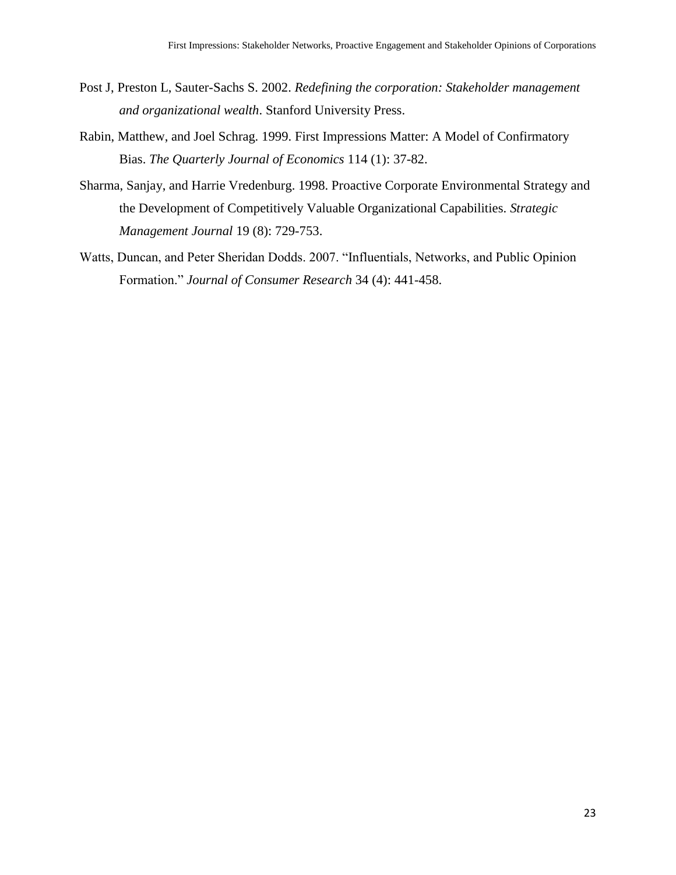- Post J, Preston L, Sauter-Sachs S. 2002. *Redefining the corporation: Stakeholder management and organizational wealth*. Stanford University Press.
- Rabin, Matthew, and Joel Schrag. 1999. First Impressions Matter: A Model of Confirmatory Bias. *The Quarterly Journal of Economics* 114 (1): 37-82.
- Sharma, Sanjay, and Harrie Vredenburg. 1998. Proactive Corporate Environmental Strategy and the Development of Competitively Valuable Organizational Capabilities. *Strategic Management Journal* 19 (8): 729-753.
- Watts, Duncan, and Peter Sheridan Dodds. 2007. "Influentials, Networks, and Public Opinion Formation." *Journal of Consumer Research* 34 (4): 441-458.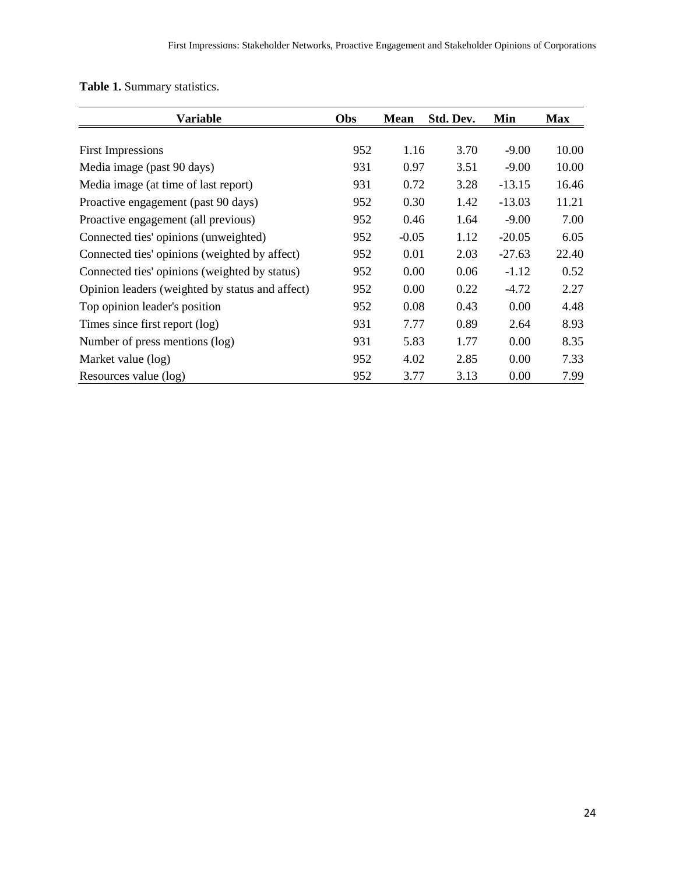**Table 1.** Summary statistics.

| <b>Variable</b>                                 | Obs | <b>Mean</b> | Std. Dev. | Min      | <b>Max</b> |
|-------------------------------------------------|-----|-------------|-----------|----------|------------|
|                                                 | 952 | 1.16        | 3.70      | $-9.00$  | 10.00      |
| <b>First Impressions</b>                        |     |             |           |          |            |
| Media image (past 90 days)                      | 931 | 0.97        | 3.51      | $-9.00$  | 10.00      |
| Media image (at time of last report)            | 931 | 0.72        | 3.28      | $-13.15$ | 16.46      |
| Proactive engagement (past 90 days)             | 952 | 0.30        | 1.42      | $-13.03$ | 11.21      |
| Proactive engagement (all previous)             | 952 | 0.46        | 1.64      | $-9.00$  | 7.00       |
| Connected ties' opinions (unweighted)           | 952 | $-0.05$     | 1.12      | $-20.05$ | 6.05       |
| Connected ties' opinions (weighted by affect)   | 952 | 0.01        | 2.03      | $-27.63$ | 22.40      |
| Connected ties' opinions (weighted by status)   | 952 | 0.00        | 0.06      | $-1.12$  | 0.52       |
| Opinion leaders (weighted by status and affect) | 952 | 0.00        | 0.22      | $-4.72$  | 2.27       |
| Top opinion leader's position                   | 952 | 0.08        | 0.43      | 0.00     | 4.48       |
| Times since first report (log)                  | 931 | 7.77        | 0.89      | 2.64     | 8.93       |
| Number of press mentions (log)                  | 931 | 5.83        | 1.77      | 0.00     | 8.35       |
| Market value (log)                              | 952 | 4.02        | 2.85      | 0.00     | 7.33       |
| Resources value (log)                           | 952 | 3.77        | 3.13      | 0.00     | 7.99       |